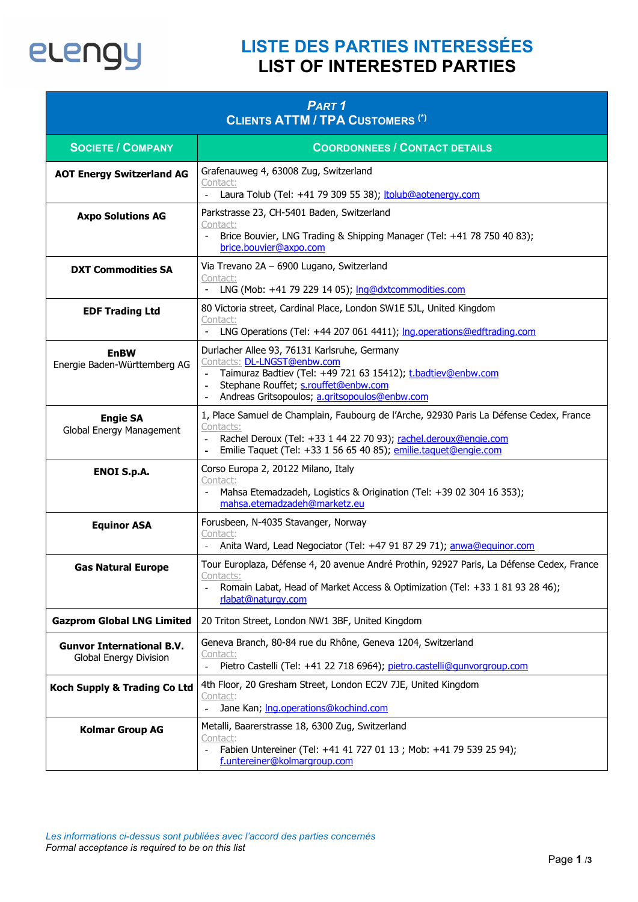

## **LISTE DES PARTIES INTERESSÉES LIST OF INTERESTED PARTIES**

| PART <sub>1</sub><br><b>CLIENTS ATTM / TPA CUSTOMERS (*)</b> |                                                                                                                                                                                                                                                        |  |
|--------------------------------------------------------------|--------------------------------------------------------------------------------------------------------------------------------------------------------------------------------------------------------------------------------------------------------|--|
| <b>SOCIETE / COMPANY</b>                                     | <b>COORDONNEES / CONTACT DETAILS</b>                                                                                                                                                                                                                   |  |
| <b>AOT Energy Switzerland AG</b>                             | Grafenauweg 4, 63008 Zug, Switzerland<br>Contact:<br>Laura Tolub (Tel: +41 79 309 55 38); ltolub@aotenergy.com                                                                                                                                         |  |
| <b>Axpo Solutions AG</b>                                     | Parkstrasse 23, CH-5401 Baden, Switzerland<br>Contact:<br>Brice Bouvier, LNG Trading & Shipping Manager (Tel: +41 78 750 40 83);<br>$\overline{\phantom{a}}$<br>brice.bouvier@axpo.com                                                                 |  |
| <b>DXT Commodities SA</b>                                    | Via Trevano 2A - 6900 Lugano, Switzerland<br>Contact:<br>LNG (Mob: +41 79 229 14 05); Inq@dxtcommodities.com                                                                                                                                           |  |
| <b>EDF Trading Ltd</b>                                       | 80 Victoria street, Cardinal Place, London SW1E 5JL, United Kingdom<br>Contact:<br>LNG Operations (Tel: +44 207 061 4411); Ing.operations@edftrading.com<br>$\overline{\phantom{a}}$                                                                   |  |
| <b>EnBW</b><br>Energie Baden-Württemberg AG                  | Durlacher Allee 93, 76131 Karlsruhe, Germany<br>Contacts: DL-LNGST@enbw.com<br>Taimuraz Badtiev (Tel: +49 721 63 15412); t.badtiev@enbw.com<br>Stephane Rouffet; s.rouffet@enbw.com<br>Andreas Gritsopoulos; a.gritsopoulos@enbw.com<br>$\blacksquare$ |  |
| <b>Engie SA</b><br>Global Energy Management                  | 1, Place Samuel de Champlain, Faubourg de l'Arche, 92930 Paris La Défense Cedex, France<br>Contacts:<br>Rachel Deroux (Tel: +33 1 44 22 70 93); rachel.deroux@engie.com<br>Emilie Taquet (Tel: +33 1 56 65 40 85); emilie.taquet@engie.com             |  |
| <b>ENOI S.p.A.</b>                                           | Corso Europa 2, 20122 Milano, Italy<br>Contact:<br>Mahsa Etemadzadeh, Logistics & Origination (Tel: +39 02 304 16 353);<br>mahsa.etemadzadeh@marketz.eu                                                                                                |  |
| <b>Equinor ASA</b>                                           | Forusbeen, N-4035 Stavanger, Norway<br>Contact:<br>Anita Ward, Lead Negociator (Tel: +47 91 87 29 71); anwa@equinor.com                                                                                                                                |  |
| <b>Gas Natural Europe</b>                                    | Tour Europlaza, Défense 4, 20 avenue André Prothin, 92927 Paris, La Défense Cedex, France<br>Contacts:<br>Romain Labat, Head of Market Access & Optimization (Tel: +33 1 81 93 28 46);<br>rlabat@naturqy.com                                           |  |
| <b>Gazprom Global LNG Limited</b>                            | 20 Triton Street, London NW1 3BF, United Kingdom                                                                                                                                                                                                       |  |
| <b>Gunvor International B.V.</b><br>Global Energy Division   | Geneva Branch, 80-84 rue du Rhône, Geneva 1204, Switzerland<br>Contact:<br>Pietro Castelli (Tel: +41 22 718 6964); pietro.castelli@gunvorgroup.com<br>$\overline{\phantom{a}}$                                                                         |  |
| <b>Koch Supply &amp; Trading Co Ltd</b>                      | 4th Floor, 20 Gresham Street, London EC2V 7JE, United Kingdom<br>Contact:<br>Jane Kan; Ing.operations@kochind.com<br>$\frac{1}{2}$                                                                                                                     |  |
| <b>Kolmar Group AG</b>                                       | Metalli, Baarerstrasse 18, 6300 Zug, Switzerland<br>Contact:<br>Fabien Untereiner (Tel: +41 41 727 01 13 ; Mob: +41 79 539 25 94);<br>$\overline{\phantom{a}}$<br>f.untereiner@kolmargroup.com                                                         |  |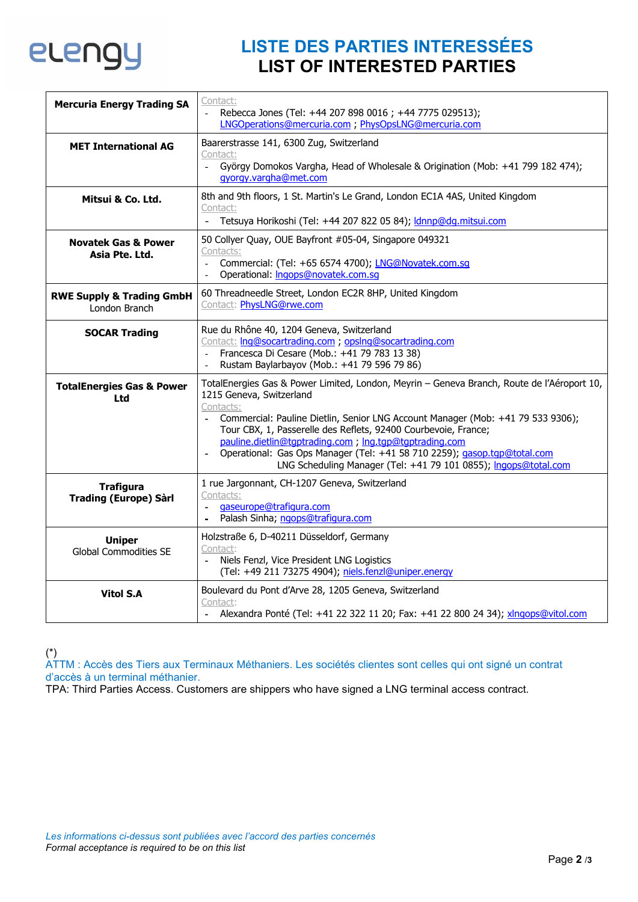

## **LISTE DES PARTIES INTERESSÉES LIST OF INTERESTED PARTIES**

| <b>Mercuria Energy Trading SA</b>                     | Contact:<br>Rebecca Jones (Tel: +44 207 898 0016 ; +44 7775 029513);<br>LNGOperations@mercuria.com ; PhysOpsLNG@mercuria.com                                                                                                                                                                                                                                                                                                                                                                       |
|-------------------------------------------------------|----------------------------------------------------------------------------------------------------------------------------------------------------------------------------------------------------------------------------------------------------------------------------------------------------------------------------------------------------------------------------------------------------------------------------------------------------------------------------------------------------|
| <b>MET International AG</b>                           | Baarerstrasse 141, 6300 Zug, Switzerland<br>Contact:<br>György Domokos Vargha, Head of Wholesale & Origination (Mob: +41 799 182 474);<br>$\omega^{\pm}$<br>gyorgy.vargha@met.com                                                                                                                                                                                                                                                                                                                  |
| Mitsui & Co. Ltd.                                     | 8th and 9th floors, 1 St. Martin's Le Grand, London EC1A 4AS, United Kingdom<br>Contact:<br>Tetsuya Horikoshi (Tel: +44 207 822 05 84); <i>dnnp@dq.mitsui.com</i>                                                                                                                                                                                                                                                                                                                                  |
| <b>Novatek Gas &amp; Power</b><br>Asia Pte. Ltd.      | 50 Collyer Quay, OUE Bayfront #05-04, Singapore 049321<br>Contacts:<br>Commercial: (Tel: +65 6574 4700); LNG@Novatek.com.sq<br>$\overline{\phantom{a}}$<br>Operational: Ingops@novatek.com.sg                                                                                                                                                                                                                                                                                                      |
| <b>RWE Supply &amp; Trading GmbH</b><br>London Branch | 60 Threadneedle Street, London EC2R 8HP, United Kingdom<br>Contact: PhysLNG@rwe.com                                                                                                                                                                                                                                                                                                                                                                                                                |
| <b>SOCAR Trading</b>                                  | Rue du Rhône 40, 1204 Geneva, Switzerland<br>Contact: Ing@socartrading.com ; opsIng@socartrading.com<br>Francesca Di Cesare (Mob.: +41 79 783 13 38)<br>Rustam Baylarbayov (Mob.: +41 79 596 79 86)                                                                                                                                                                                                                                                                                                |
| <b>TotalEnergies Gas &amp; Power</b><br>Ltd           | TotalEnergies Gas & Power Limited, London, Meyrin - Geneva Branch, Route de l'Aéroport 10,<br>1215 Geneva, Switzerland<br>Contacts:<br>Commercial: Pauline Dietlin, Senior LNG Account Manager (Mob: +41 79 533 9306);<br>Tour CBX, 1, Passerelle des Reflets, 92400 Courbevoie, France;<br>pauline.dietlin@tqptrading.com ; lng.tqp@tqptrading.com<br>Operational: Gas Ops Manager (Tel: +41 58 710 2259); gasop.tgp@total.com<br>LNG Scheduling Manager (Tel: +41 79 101 0855); Ingops@total.com |
| <b>Trafigura</b><br><b>Trading (Europe) Sàrl</b>      | 1 rue Jargonnant, CH-1207 Geneva, Switzerland<br>Contacts:<br>gaseurope@trafigura.com<br>Palash Sinha; ngops@trafigura.com                                                                                                                                                                                                                                                                                                                                                                         |
| <b>Uniper</b><br><b>Global Commodities SE</b>         | Holzstraße 6, D-40211 Düsseldorf, Germany<br>Contact:<br>Niels Fenzl, Vice President LNG Logistics<br>(Tel: +49 211 73275 4904); niels.fenzl@uniper.energy                                                                                                                                                                                                                                                                                                                                         |
| <b>Vitol S.A</b>                                      | Boulevard du Pont d'Arve 28, 1205 Geneva, Switzerland<br>Contact:<br>Alexandra Ponté (Tel: +41 22 322 11 20; Fax: +41 22 800 24 34); xlngops@vitol.com                                                                                                                                                                                                                                                                                                                                             |

(\*)

ATTM : Accès des Tiers aux Terminaux Méthaniers. Les sociétés clientes sont celles qui ont signé un contrat d'accès à un terminal méthanier.

TPA: Third Parties Access. Customers are shippers who have signed a LNG terminal access contract.